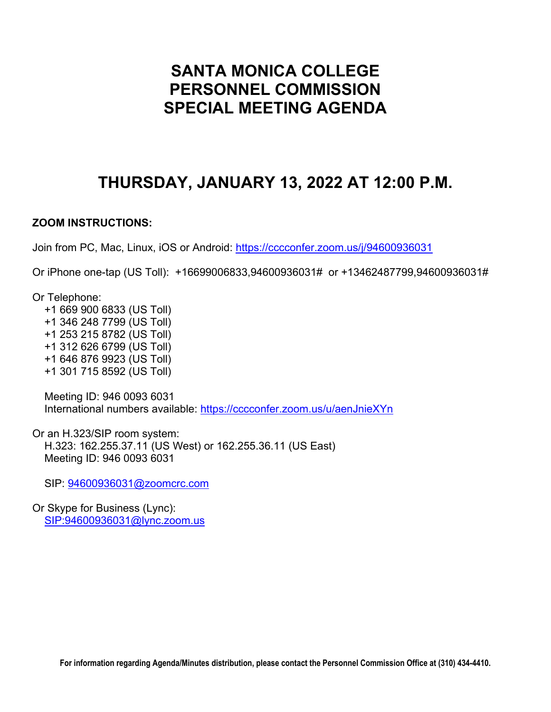# **SANTA MONICA COLLEGE PERSONNEL COMMISSION SPECIAL MEETING AGENDA**

# **THURSDAY, JANUARY 13, 2022 AT 12:00 P.M.**

# **ZOOM INSTRUCTIONS:**

Join from PC, Mac, Linux, iOS or Android:<https://cccconfer.zoom.us/j/94600936031>

Or iPhone one-tap (US Toll): +16699006833,94600936031# or +13462487799,94600936031#

Or Telephone:

 +1 669 900 6833 (US Toll) +1 346 248 7799 (US Toll) +1 253 215 8782 (US Toll) +1 312 626 6799 (US Toll) +1 646 876 9923 (US Toll) +1 301 715 8592 (US Toll)

 Meeting ID: 946 0093 6031 International numbers available:<https://cccconfer.zoom.us/u/aenJnieXYn>

Or an H.323/SIP room system: H.323: 162.255.37.11 (US West) or 162.255.36.11 (US East) Meeting ID: 946 0093 6031

SIP: [94600936031@zoomcrc.com](mailto:94600936031@zoomcrc.com)

Or Skype for Business (Lync): [SIP:94600936031@lync.zoom.us](sip:94600936031@lync.zoom.us)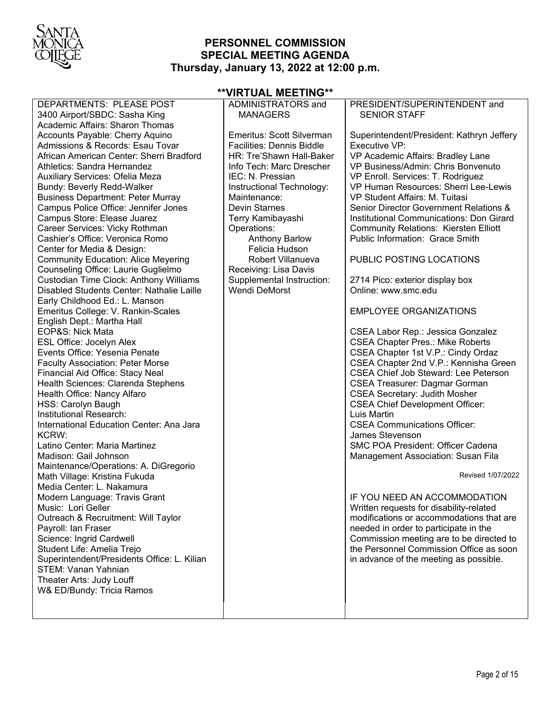

# **PERSONNEL COMMISSION SPECIAL MEETING AGENDA Thursday, January 13, 2022 at 12:00 p.m.**

| **VIRTUAL MEETING**                                                               |                                         |                                              |  |
|-----------------------------------------------------------------------------------|-----------------------------------------|----------------------------------------------|--|
| DEPARTMENTS: PLEASE POST                                                          | ADMINISTRATORS and                      | PRESIDENT/SUPERINTENDENT and                 |  |
| 3400 Airport/SBDC: Sasha King                                                     | <b>MANAGERS</b>                         | <b>SENIOR STAFF</b>                          |  |
| Academic Affairs: Sharon Thomas                                                   |                                         |                                              |  |
| Accounts Payable: Cherry Aquino                                                   | Emeritus: Scott Silverman               | Superintendent/President: Kathryn Jeffery    |  |
| Admissions & Records: Esau Tovar                                                  | <b>Facilities: Dennis Biddle</b>        | Executive VP:                                |  |
| African American Center: Sherri Bradford                                          | HR: Tre'Shawn Hall-Baker                | VP Academic Affairs: Bradley Lane            |  |
| Athletics: Sandra Hernandez                                                       | Info Tech: Marc Drescher                | VP Business/Admin: Chris Bonvenuto           |  |
| Auxiliary Services: Ofelia Meza                                                   | IEC: N. Pressian                        | VP Enroll. Services: T. Rodriguez            |  |
| Bundy: Beverly Redd-Walker                                                        | Instructional Technology:               | VP Human Resources: Sherri Lee-Lewis         |  |
| <b>Business Department: Peter Murray</b>                                          | Maintenance:                            | VP Student Affairs: M. Tuitasi               |  |
| Campus Police Office: Jennifer Jones                                              | <b>Devin Starnes</b>                    | Senior Director Government Relations &       |  |
| Campus Store: Elease Juarez                                                       | Terry Kamibayashi                       | Institutional Communications: Don Girard     |  |
| Career Services: Vicky Rothman                                                    | Operations:                             | <b>Community Relations: Kiersten Elliott</b> |  |
| Cashier's Office: Veronica Romo                                                   | <b>Anthony Barlow</b><br>Felicia Hudson | Public Information: Grace Smith              |  |
| Center for Media & Design:                                                        | Robert Villanueva                       | PUBLIC POSTING LOCATIONS                     |  |
| <b>Community Education: Alice Meyering</b><br>Counseling Office: Laurie Guglielmo | Receiving: Lisa Davis                   |                                              |  |
| Custodian Time Clock: Anthony Williams                                            | Supplemental Instruction:               | 2714 Pico: exterior display box              |  |
| Disabled Students Center: Nathalie Laille                                         | <b>Wendi DeMorst</b>                    | Online: www.smc.edu                          |  |
| Early Childhood Ed.: L. Manson                                                    |                                         |                                              |  |
| Emeritus College: V. Rankin-Scales                                                |                                         | <b>EMPLOYEE ORGANIZATIONS</b>                |  |
| English Dept.: Martha Hall                                                        |                                         |                                              |  |
| EOP&S: Nick Mata                                                                  |                                         | CSEA Labor Rep.: Jessica Gonzalez            |  |
| ESL Office: Jocelyn Alex                                                          |                                         | <b>CSEA Chapter Pres.: Mike Roberts</b>      |  |
| Events Office: Yesenia Penate                                                     |                                         | CSEA Chapter 1st V.P.: Cindy Ordaz           |  |
| <b>Faculty Association: Peter Morse</b>                                           |                                         | CSEA Chapter 2nd V.P.: Kennisha Green        |  |
| Financial Aid Office: Stacy Neal                                                  |                                         | <b>CSEA Chief Job Steward: Lee Peterson</b>  |  |
| Health Sciences: Clarenda Stephens                                                |                                         | <b>CSEA Treasurer: Dagmar Gorman</b>         |  |
| Health Office: Nancy Alfaro                                                       |                                         | <b>CSEA Secretary: Judith Mosher</b>         |  |
| HSS: Carolyn Baugh                                                                |                                         | <b>CSEA Chief Development Officer:</b>       |  |
| Institutional Research:                                                           |                                         | Luis Martin                                  |  |
| International Education Center: Ana Jara                                          |                                         | <b>CSEA Communications Officer:</b>          |  |
| KCRW:                                                                             |                                         | James Stevenson                              |  |
| Latino Center: Maria Martinez                                                     |                                         | <b>SMC POA President: Officer Cadena</b>     |  |
| Madison: Gail Johnson                                                             |                                         | Management Association: Susan Fila           |  |
| Maintenance/Operations: A. DiGregorio                                             |                                         | Revised 1/07/2022                            |  |
| Math Village: Kristina Fukuda<br>Media Center: L. Nakamura                        |                                         |                                              |  |
| Modern Language: Travis Grant                                                     |                                         | IF YOU NEED AN ACCOMMODATION                 |  |
| Music: Lori Geller                                                                |                                         | Written requests for disability-related      |  |
| Outreach & Recruitment: Will Taylor                                               |                                         | modifications or accommodations that are     |  |
| Payroll: Ian Fraser                                                               |                                         | needed in order to participate in the        |  |
| Science: Ingrid Cardwell                                                          |                                         | Commission meeting are to be directed to     |  |
| Student Life: Amelia Trejo                                                        |                                         | the Personnel Commission Office as soon      |  |
| Superintendent/Presidents Office: L. Kilian                                       |                                         | in advance of the meeting as possible.       |  |
| <b>STEM: Vanan Yahnian</b>                                                        |                                         |                                              |  |
| Theater Arts: Judy Louff                                                          |                                         |                                              |  |
| W& ED/Bundy: Tricia Ramos                                                         |                                         |                                              |  |
|                                                                                   |                                         |                                              |  |
|                                                                                   |                                         |                                              |  |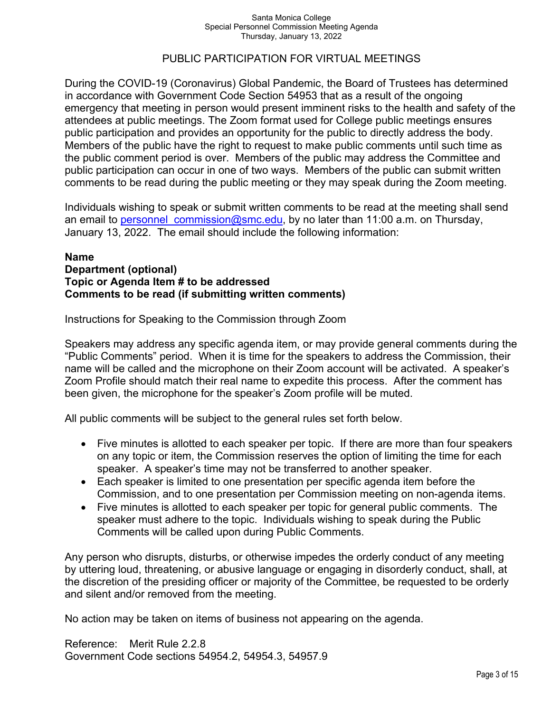# PUBLIC PARTICIPATION FOR VIRTUAL MEETINGS

During the COVID-19 (Coronavirus) Global Pandemic, the Board of Trustees has determined in accordance with Government Code Section 54953 that as a result of the ongoing emergency that meeting in person would present imminent risks to the health and safety of the attendees at public meetings. The Zoom format used for College public meetings ensures public participation and provides an opportunity for the public to directly address the body. Members of the public have the right to request to make public comments until such time as the public comment period is over. Members of the public may address the Committee and public participation can occur in one of two ways. Members of the public can submit written comments to be read during the public meeting or they may speak during the Zoom meeting.

Individuals wishing to speak or submit written comments to be read at the meeting shall send an email to personnel commission@smc.edu, by no later than 11:00 a.m. on Thursday, January 13, 2022. The email should include the following information:

### **Name Department (optional) Topic or Agenda Item # to be addressed Comments to be read (if submitting written comments)**

Instructions for Speaking to the Commission through Zoom

Speakers may address any specific agenda item, or may provide general comments during the "Public Comments" period. When it is time for the speakers to address the Commission, their name will be called and the microphone on their Zoom account will be activated. A speaker's Zoom Profile should match their real name to expedite this process. After the comment has been given, the microphone for the speaker's Zoom profile will be muted.

All public comments will be subject to the general rules set forth below.

- Five minutes is allotted to each speaker per topic. If there are more than four speakers on any topic or item, the Commission reserves the option of limiting the time for each speaker. A speaker's time may not be transferred to another speaker.
- Each speaker is limited to one presentation per specific agenda item before the Commission, and to one presentation per Commission meeting on non-agenda items.
- Five minutes is allotted to each speaker per topic for general public comments. The speaker must adhere to the topic. Individuals wishing to speak during the Public Comments will be called upon during Public Comments.

Any person who disrupts, disturbs, or otherwise impedes the orderly conduct of any meeting by uttering loud, threatening, or abusive language or engaging in disorderly conduct, shall, at the discretion of the presiding officer or majority of the Committee, be requested to be orderly and silent and/or removed from the meeting.

No action may be taken on items of business not appearing on the agenda.

Reference: Merit Rule 2.2.8 Government Code sections 54954.2, 54954.3, 54957.9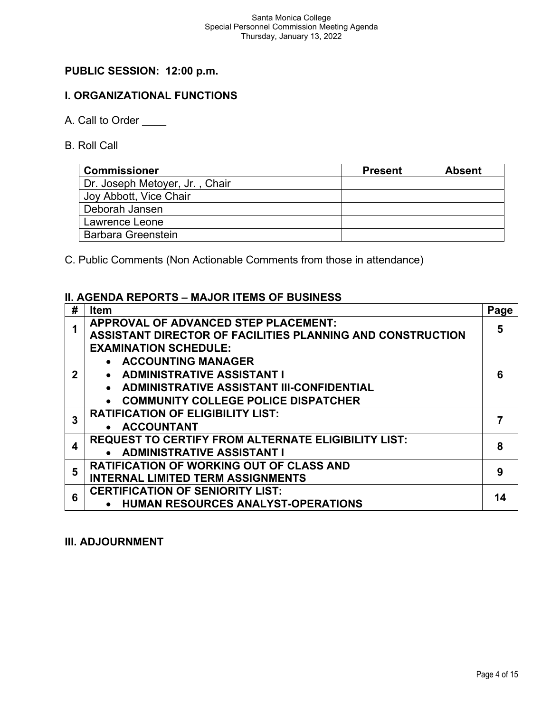# **PUBLIC SESSION: 12:00 p.m.**

# **I. ORGANIZATIONAL FUNCTIONS**

- A. Call to Order
- B. Roll Call

| <b>Commissioner</b>            | <b>Present</b> | <b>Absent</b> |
|--------------------------------|----------------|---------------|
| Dr. Joseph Metoyer, Jr., Chair |                |               |
| Joy Abbott, Vice Chair         |                |               |
| Deborah Jansen                 |                |               |
| Lawrence Leone                 |                |               |
| <b>Barbara Greenstein</b>      |                |               |

C. Public Comments (Non Actionable Comments from those in attendance)

# **II. AGENDA REPORTS – MAJOR ITEMS OF BUSINESS**

| # | <b>Item</b>                                                       | Page |
|---|-------------------------------------------------------------------|------|
|   | APPROVAL OF ADVANCED STEP PLACEMENT:                              | 5    |
|   | <b>ASSISTANT DIRECTOR OF FACILITIES PLANNING AND CONSTRUCTION</b> |      |
|   | <b>EXAMINATION SCHEDULE:</b>                                      |      |
|   | • ACCOUNTING MANAGER                                              |      |
|   | • ADMINISTRATIVE ASSISTANT I                                      | 6    |
|   | • ADMINISTRATIVE ASSISTANT III-CONFIDENTIAL                       |      |
|   | • COMMUNITY COLLEGE POLICE DISPATCHER                             |      |
| 3 | <b>RATIFICATION OF ELIGIBILITY LIST:</b>                          |      |
|   | • ACCOUNTANT                                                      |      |
| 4 | <b>REQUEST TO CERTIFY FROM ALTERNATE ELIGIBILITY LIST:</b>        | 8    |
|   | • ADMINISTRATIVE ASSISTANT I                                      |      |
| 5 | <b>RATIFICATION OF WORKING OUT OF CLASS AND</b>                   | 9    |
|   | <b>INTERNAL LIMITED TERM ASSIGNMENTS</b>                          |      |
| 6 | <b>CERTIFICATION OF SENIORITY LIST:</b>                           | 14   |
|   | <b>HUMAN RESOURCES ANALYST-OPERATIONS</b>                         |      |

### **III. ADJOURNMENT**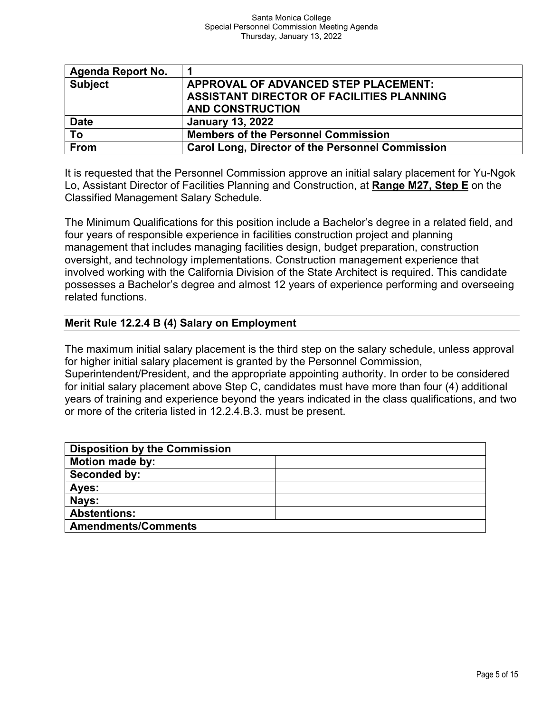| <b>Agenda Report No.</b> |                                                         |
|--------------------------|---------------------------------------------------------|
| <b>Subject</b>           | APPROVAL OF ADVANCED STEP PLACEMENT:                    |
|                          | ASSISTANT DIRECTOR OF FACILITIES PLANNING               |
|                          | <b>AND CONSTRUCTION</b>                                 |
| <b>Date</b>              | <b>January 13, 2022</b>                                 |
| To                       | <b>Members of the Personnel Commission</b>              |
| From                     | <b>Carol Long, Director of the Personnel Commission</b> |

It is requested that the Personnel Commission approve an initial salary placement for Yu-Ngok Lo, Assistant Director of Facilities Planning and Construction, at **Range M27, Step E** on the Classified Management Salary Schedule.

The Minimum Qualifications for this position include a Bachelor's degree in a related field, and four years of responsible experience in facilities construction project and planning management that includes managing facilities design, budget preparation, construction oversight, and technology implementations. Construction management experience that involved working with the California Division of the State Architect is required. This candidate possesses a Bachelor's degree and almost 12 years of experience performing and overseeing related functions.

# **Merit Rule 12.2.4 B (4) Salary on Employment**

The maximum initial salary placement is the third step on the salary schedule, unless approval for higher initial salary placement is granted by the Personnel Commission,

Superintendent/President, and the appropriate appointing authority. In order to be considered for initial salary placement above Step C, candidates must have more than four (4) additional years of training and experience beyond the years indicated in the class qualifications, and two or more of the criteria listed in 12.2.4.B.3. must be present.

| <b>Disposition by the Commission</b> |  |
|--------------------------------------|--|
| <b>Motion made by:</b>               |  |
| Seconded by:                         |  |
| Ayes:                                |  |
| Nays:                                |  |
| <b>Abstentions:</b>                  |  |
| <b>Amendments/Comments</b>           |  |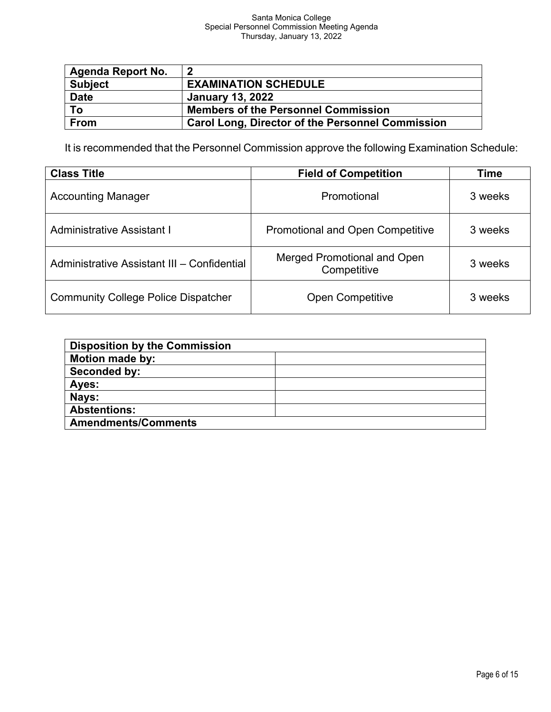| Agenda Report No. | 2                                                       |
|-------------------|---------------------------------------------------------|
| <b>Subject</b>    | <b>EXAMINATION SCHEDULE</b>                             |
| <b>Date</b>       | <b>January 13, 2022</b>                                 |
| To                | <b>Members of the Personnel Commission</b>              |
| <b>From</b>       | <b>Carol Long, Director of the Personnel Commission</b> |

It is recommended that the Personnel Commission approve the following Examination Schedule:

| <b>Class Title</b>                          | <b>Field of Competition</b>                       | Time    |
|---------------------------------------------|---------------------------------------------------|---------|
| <b>Accounting Manager</b>                   | Promotional                                       | 3 weeks |
| <b>Administrative Assistant I</b>           | <b>Promotional and Open Competitive</b>           | 3 weeks |
| Administrative Assistant III - Confidential | <b>Merged Promotional and Open</b><br>Competitive | 3 weeks |
| <b>Community College Police Dispatcher</b>  | <b>Open Competitive</b>                           | 3 weeks |

| <b>Disposition by the Commission</b> |  |
|--------------------------------------|--|
| <b>Motion made by:</b>               |  |
| Seconded by:                         |  |
| Ayes:                                |  |
| Nays:                                |  |
| <b>Abstentions:</b>                  |  |
| <b>Amendments/Comments</b>           |  |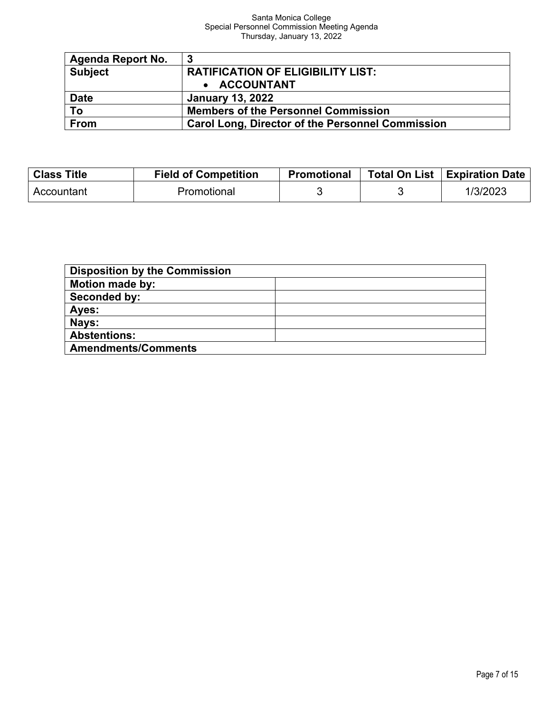| Agenda Report No. | -3                                                      |
|-------------------|---------------------------------------------------------|
| <b>Subject</b>    | <b>RATIFICATION OF ELIGIBILITY LIST:</b>                |
|                   | • ACCOUNTANT                                            |
| <b>Date</b>       | <b>January 13, 2022</b>                                 |
| To                | <b>Members of the Personnel Commission</b>              |
| From              | <b>Carol Long, Director of the Personnel Commission</b> |

| <b>Class Title</b> | <b>Field of Competition</b> | <b>Promotional</b> | Total On List   Expiration Date |
|--------------------|-----------------------------|--------------------|---------------------------------|
| Accountant         | Promotional                 |                    | 1/3/2023                        |

| <b>Disposition by the Commission</b> |  |
|--------------------------------------|--|
| <b>Motion made by:</b>               |  |
| Seconded by:                         |  |
| Ayes:                                |  |
| Nays:                                |  |
| <b>Abstentions:</b>                  |  |
| <b>Amendments/Comments</b>           |  |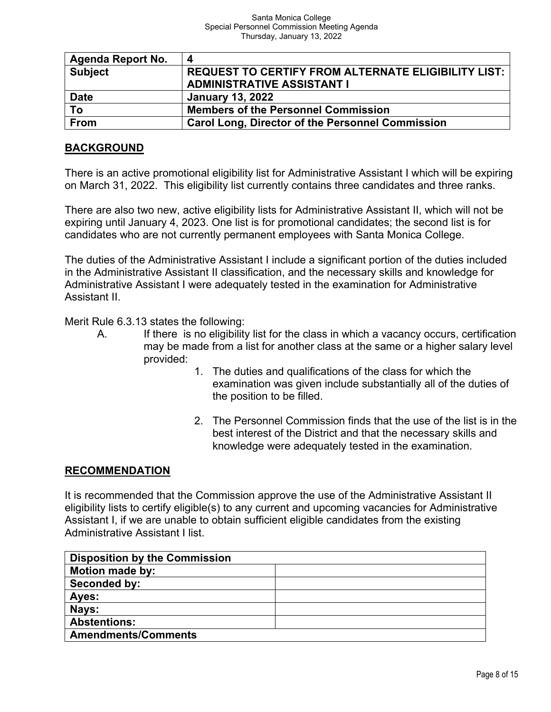| Agenda Report No. | 4                                                       |
|-------------------|---------------------------------------------------------|
| <b>Subject</b>    | REQUEST TO CERTIFY FROM ALTERNATE ELIGIBILITY LIST:     |
|                   | <b>ADMINISTRATIVE ASSISTANT I</b>                       |
| <b>Date</b>       | <b>January 13, 2022</b>                                 |
| То                | <b>Members of the Personnel Commission</b>              |
| <b>From</b>       | <b>Carol Long, Director of the Personnel Commission</b> |

# **BACKGROUND**

There is an active promotional eligibility list for Administrative Assistant I which will be expiring on March 31, 2022. This eligibility list currently contains three candidates and three ranks.

There are also two new, active eligibility lists for Administrative Assistant II, which will not be expiring until January 4, 2023. One list is for promotional candidates; the second list is for candidates who are not currently permanent employees with Santa Monica College.

The duties of the Administrative Assistant I include a significant portion of the duties included in the Administrative Assistant II classification, and the necessary skills and knowledge for Administrative Assistant I were adequately tested in the examination for Administrative Assistant II.

Merit Rule 6.3.13 states the following:

- A. If there is no eligibility list for the class in which a vacancy occurs, certification may be made from a list for another class at the same or a higher salary level provided:
	- 1. The duties and qualifications of the class for which the examination was given include substantially all of the duties of the position to be filled.
	- 2. The Personnel Commission finds that the use of the list is in the best interest of the District and that the necessary skills and knowledge were adequately tested in the examination.

## **RECOMMENDATION**

It is recommended that the Commission approve the use of the Administrative Assistant II eligibility lists to certify eligible(s) to any current and upcoming vacancies for Administrative Assistant I, if we are unable to obtain sufficient eligible candidates from the existing Administrative Assistant I list.

| <b>Disposition by the Commission</b> |  |
|--------------------------------------|--|
| <b>Motion made by:</b>               |  |
| Seconded by:                         |  |
| Ayes:                                |  |
| Nays:                                |  |
| <b>Abstentions:</b>                  |  |
| <b>Amendments/Comments</b>           |  |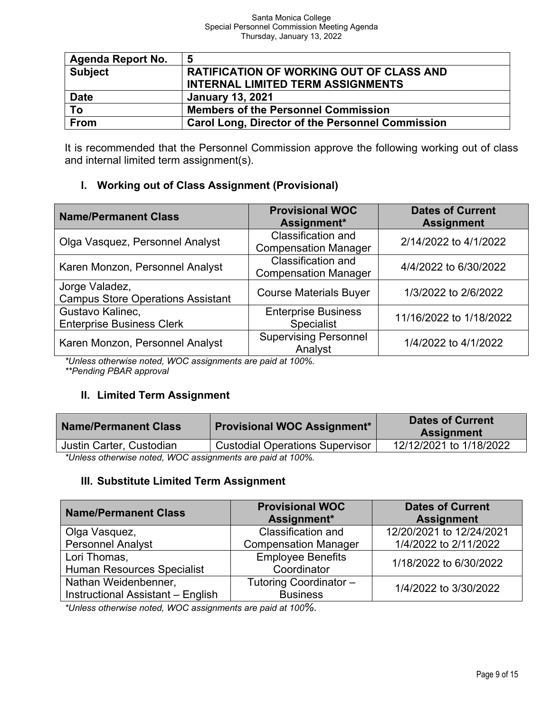| <b>Agenda Report No.</b> | -5                                                      |
|--------------------------|---------------------------------------------------------|
| <b>Subject</b>           | <b>RATIFICATION OF WORKING OUT OF CLASS AND</b>         |
|                          | <b>INTERNAL LIMITED TERM ASSIGNMENTS</b>                |
| <b>Date</b>              | <b>January 13, 2021</b>                                 |
| To                       | <b>Members of the Personnel Commission</b>              |
| <b>From</b>              | <b>Carol Long, Director of the Personnel Commission</b> |

It is recommended that the Personnel Commission approve the following working out of class and internal limited term assignment(s).

# **I. Working out of Class Assignment (Provisional)**

| <b>Name/Permanent Class</b>                                | <b>Provisional WOC</b><br>Assignment*                    | <b>Dates of Current</b><br><b>Assignment</b> |  |
|------------------------------------------------------------|----------------------------------------------------------|----------------------------------------------|--|
| Olga Vasquez, Personnel Analyst                            | <b>Classification and</b><br><b>Compensation Manager</b> | 2/14/2022 to 4/1/2022                        |  |
| Karen Monzon, Personnel Analyst                            | <b>Classification and</b><br><b>Compensation Manager</b> | 4/4/2022 to 6/30/2022                        |  |
| Jorge Valadez,<br><b>Campus Store Operations Assistant</b> | <b>Course Materials Buyer</b>                            | 1/3/2022 to 2/6/2022                         |  |
| Gustavo Kalinec,<br><b>Enterprise Business Clerk</b>       | <b>Enterprise Business</b><br><b>Specialist</b>          | 11/16/2022 to 1/18/2022                      |  |
| Karen Monzon, Personnel Analyst                            | <b>Supervising Personnel</b><br>Analyst                  | 1/4/2022 to 4/1/2022                         |  |

*\*Unless otherwise noted, WOC assignments are paid at 100%. \*\*Pending PBAR approval*

# **II. Limited Term Assignment**

| <b>Name/Permanent Class</b>                                      | <b>Provisional WOC Assignment*</b>     | <b>Dates of Current</b><br><b>Assignment</b> |  |
|------------------------------------------------------------------|----------------------------------------|----------------------------------------------|--|
| Justin Carter, Custodian                                         | <b>Custodial Operations Supervisor</b> | 12/12/2021 to 1/18/2022                      |  |
| $*$ l Inless othenwise noted $M/OC$ assignments are naid at 100% |                                        |                                              |  |

*\*Unless otherwise noted, WOC assignments are paid at 100%.*

# **III. Substitute Limited Term Assignment**

| <b>Name/Permanent Class</b>       | <b>Provisional WOC</b>      | <b>Dates of Current</b>  |  |
|-----------------------------------|-----------------------------|--------------------------|--|
|                                   | Assignment*                 | <b>Assignment</b>        |  |
| Olga Vasquez,                     | <b>Classification and</b>   | 12/20/2021 to 12/24/2021 |  |
| <b>Personnel Analyst</b>          | <b>Compensation Manager</b> | 1/4/2022 to 2/11/2022    |  |
| Lori Thomas,                      | <b>Employee Benefits</b>    | 1/18/2022 to 6/30/2022   |  |
| <b>Human Resources Specialist</b> | Coordinator                 |                          |  |
| Nathan Weidenbenner,              | Tutoring Coordinator -      | 1/4/2022 to 3/30/2022    |  |
| Instructional Assistant - English | <b>Business</b>             |                          |  |

*\*Unless otherwise noted, WOC assignments are paid at 100%.*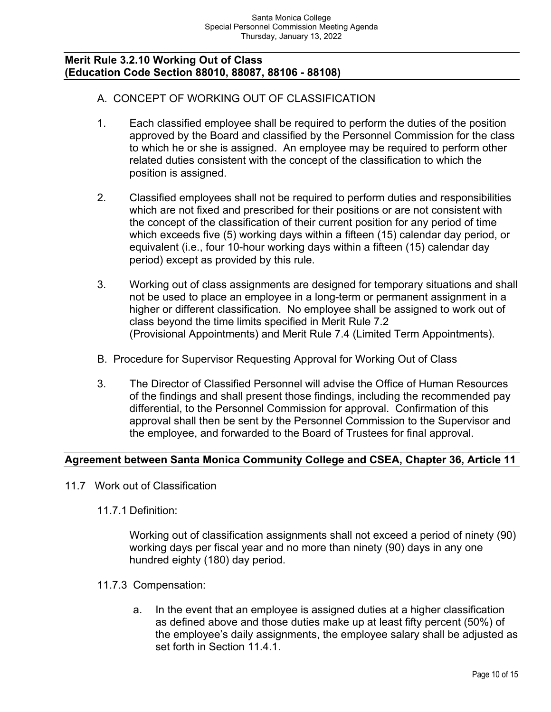### **Merit Rule 3.2.10 Working Out of Class (Education Code Section 88010, 88087, 88106 - 88108)**

# A. CONCEPT OF WORKING OUT OF CLASSIFICATION

- 1. Each classified employee shall be required to perform the duties of the position approved by the Board and classified by the Personnel Commission for the class to which he or she is assigned. An employee may be required to perform other related duties consistent with the concept of the classification to which the position is assigned.
- 2. Classified employees shall not be required to perform duties and responsibilities which are not fixed and prescribed for their positions or are not consistent with the concept of the classification of their current position for any period of time which exceeds five (5) working days within a fifteen (15) calendar day period, or equivalent (i.e., four 10-hour working days within a fifteen (15) calendar day period) except as provided by this rule.
- 3. Working out of class assignments are designed for temporary situations and shall not be used to place an employee in a long-term or permanent assignment in a higher or different classification. No employee shall be assigned to work out of class beyond the time limits specified in Merit Rule 7.2 (Provisional Appointments) and Merit Rule 7.4 (Limited Term Appointments).
- B. Procedure for Supervisor Requesting Approval for Working Out of Class
- 3. The Director of Classified Personnel will advise the Office of Human Resources of the findings and shall present those findings, including the recommended pay differential, to the Personnel Commission for approval. Confirmation of this approval shall then be sent by the Personnel Commission to the Supervisor and the employee, and forwarded to the Board of Trustees for final approval.

## **Agreement between Santa Monica Community College and CSEA, Chapter 36, Article 11**

- 11.7 Work out of Classification
	- 11.7.1 Definition:

Working out of classification assignments shall not exceed a period of ninety (90) working days per fiscal year and no more than ninety (90) days in any one hundred eighty (180) day period.

- 11.7.3 Compensation:
	- a. In the event that an employee is assigned duties at a higher classification as defined above and those duties make up at least fifty percent (50%) of the employee's daily assignments, the employee salary shall be adjusted as set forth in Section 11.4.1.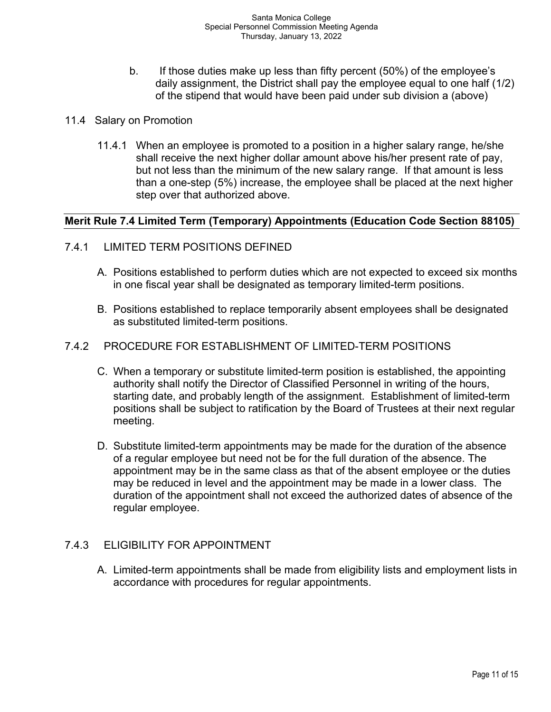- b. If those duties make up less than fifty percent (50%) of the employee's daily assignment, the District shall pay the employee equal to one half (1/2) of the stipend that would have been paid under sub division a (above)
- 11.4 Salary on Promotion
	- 11.4.1 When an employee is promoted to a position in a higher salary range, he/she shall receive the next higher dollar amount above his/her present rate of pay, but not less than the minimum of the new salary range. If that amount is less than a one-step (5%) increase, the employee shall be placed at the next higher step over that authorized above.

## **Merit Rule 7.4 Limited Term (Temporary) Appointments (Education Code Section 88105)**

- 7.4.1 LIMITED TERM POSITIONS DEFINED
	- A. Positions established to perform duties which are not expected to exceed six months in one fiscal year shall be designated as temporary limited-term positions.
	- B. Positions established to replace temporarily absent employees shall be designated as substituted limited-term positions.

### 7.4.2 PROCEDURE FOR ESTABLISHMENT OF LIMITED-TERM POSITIONS

- C. When a temporary or substitute limited-term position is established, the appointing authority shall notify the Director of Classified Personnel in writing of the hours, starting date, and probably length of the assignment. Establishment of limited-term positions shall be subject to ratification by the Board of Trustees at their next regular meeting.
- D. Substitute limited-term appointments may be made for the duration of the absence of a regular employee but need not be for the full duration of the absence. The appointment may be in the same class as that of the absent employee or the duties may be reduced in level and the appointment may be made in a lower class. The duration of the appointment shall not exceed the authorized dates of absence of the regular employee.

# 7.4.3 ELIGIBILITY FOR APPOINTMENT

A. Limited-term appointments shall be made from eligibility lists and employment lists in accordance with procedures for regular appointments.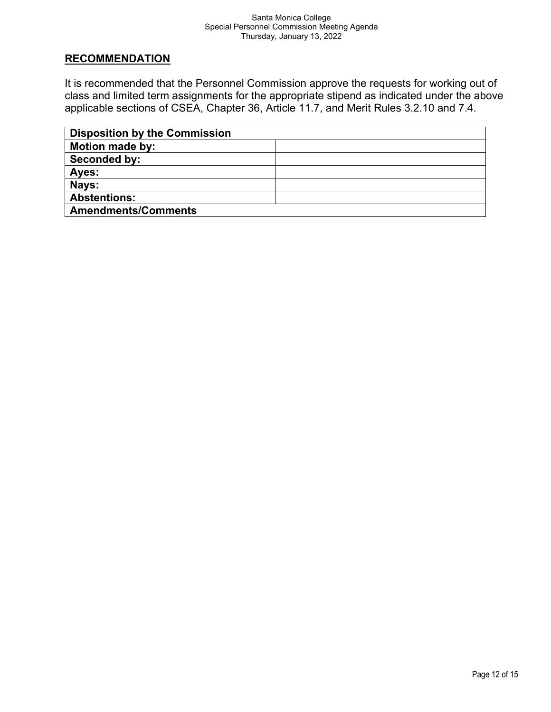### **RECOMMENDATION**

It is recommended that the Personnel Commission approve the requests for working out of class and limited term assignments for the appropriate stipend as indicated under the above applicable sections of CSEA, Chapter 36, Article 11.7, and Merit Rules 3.2.10 and 7.4.

| <b>Disposition by the Commission</b> |  |
|--------------------------------------|--|
| <b>Motion made by:</b>               |  |
| Seconded by:                         |  |
| Ayes:                                |  |
| Nays:                                |  |
| <b>Abstentions:</b>                  |  |
| <b>Amendments/Comments</b>           |  |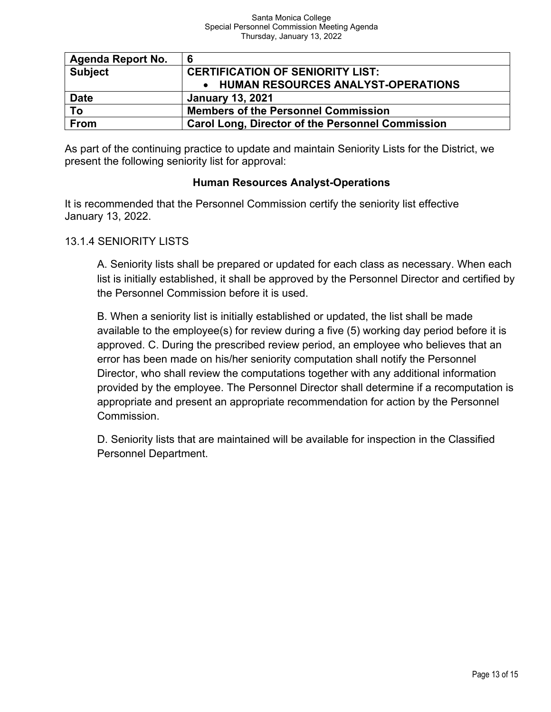| <b>Agenda Report No.</b> |                                                         |
|--------------------------|---------------------------------------------------------|
| <b>Subject</b>           | <b>CERTIFICATION OF SENIORITY LIST:</b>                 |
|                          | • HUMAN RESOURCES ANALYST-OPERATIONS                    |
| <b>Date</b>              | <b>January 13, 2021</b>                                 |
| To                       | <b>Members of the Personnel Commission</b>              |
| From                     | <b>Carol Long, Director of the Personnel Commission</b> |

As part of the continuing practice to update and maintain Seniority Lists for the District, we present the following seniority list for approval:

# **Human Resources Analyst-Operations**

It is recommended that the Personnel Commission certify the seniority list effective January 13, 2022.

# 13.1.4 SENIORITY LISTS

A. Seniority lists shall be prepared or updated for each class as necessary. When each list is initially established, it shall be approved by the Personnel Director and certified by the Personnel Commission before it is used.

B. When a seniority list is initially established or updated, the list shall be made available to the employee(s) for review during a five (5) working day period before it is approved. C. During the prescribed review period, an employee who believes that an error has been made on his/her seniority computation shall notify the Personnel Director, who shall review the computations together with any additional information provided by the employee. The Personnel Director shall determine if a recomputation is appropriate and present an appropriate recommendation for action by the Personnel Commission.

D. Seniority lists that are maintained will be available for inspection in the Classified Personnel Department.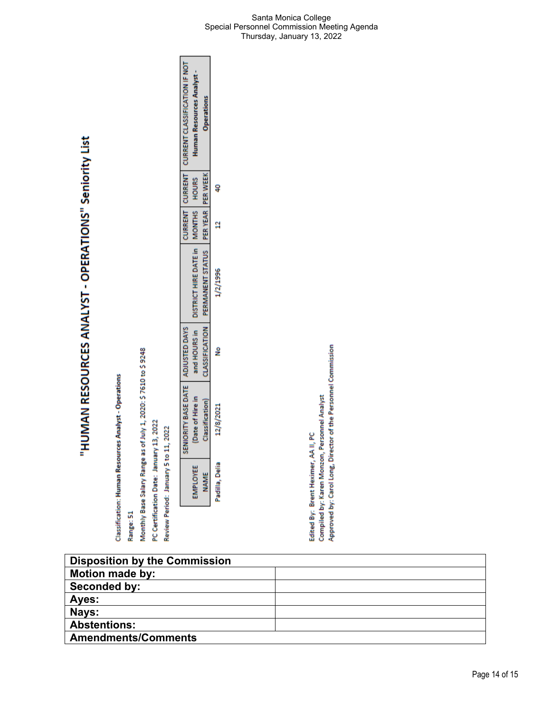"HUMAN RESOURCES ANALYST - OPERATIONS" Seniority List

Range: 51

Monthly Base Salary Range as of July 1, 2020: \$7610 to \$9248

PC Certification Date: January 13, 2022

Review Period: January 5 to 11, 2022

| CURRENT   CURRENT   CURRENT CLASSIFICATION IF NOT | Human Resources Analyst -                         | <b>Operations</b>                                 |               |
|---------------------------------------------------|---------------------------------------------------|---------------------------------------------------|---------------|
|                                                   |                                                   |                                                   |               |
|                                                   |                                                   |                                                   | ċ             |
|                                                   | and HOURS in DISTRICT HIRE DATE in MONTHS   HOURS | CLASSIFICATION PERMANENT STATUS PER YEAR PER WEEK | 1/2/1996      |
|                                                   |                                                   |                                                   | ş             |
| SENIORITY BASE DATE   ADJUSTED DAYS               | Date of Hire in                                   | <b>Classification</b>                             | 12/8/2021     |
|                                                   |                                                   | <b>NAME</b>                                       | adilla, Delia |

Compiled by: Karen Monzon, Personnel Analyst<br>Approved by: Carol Long, Director of the Personnel Commission Edited By: Brent Heximer, AA II, PC

| <b>Disposition by the Commission</b> |  |
|--------------------------------------|--|
| <b>Motion made by:</b>               |  |
| Seconded by:                         |  |
| Ayes:                                |  |
| Nays:                                |  |
| <b>Abstentions:</b>                  |  |
| <b>Amendments/Comments</b>           |  |
|                                      |  |